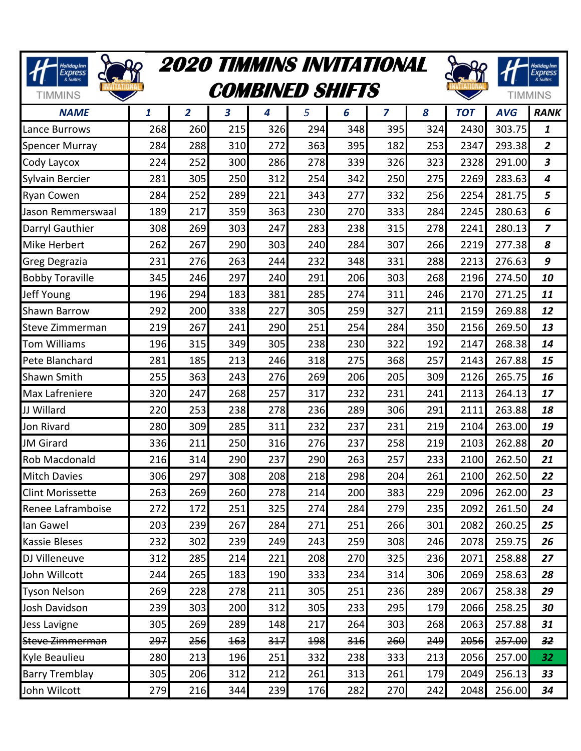| <b>2020 TIMMINS INVITATIONAL</b><br>Holiday Inn<br>Express |                        |                |     |     |     |     |                |                | Holiday Inn<br>Express |            |                            |
|------------------------------------------------------------|------------------------|----------------|-----|-----|-----|-----|----------------|----------------|------------------------|------------|----------------------------|
| & Suites<br><b>TIMMINS</b>                                 | <b>COMBINED SHIFTS</b> |                |     |     |     |     |                |                |                        |            | & Suites<br><b>TIMMINS</b> |
| <b>NAME</b>                                                | 1                      | $\overline{2}$ | 3   | 4   | 5   | 6   | $\overline{z}$ | 8              | <b>TOT</b>             | <b>AVG</b> | <b>RANK</b>                |
| Lance Burrows                                              | 268                    | 260            | 215 | 326 | 294 | 348 | 395            | 324            | 2430                   | 303.75     | 1                          |
| <b>Spencer Murray</b>                                      | 284                    | 288            | 310 | 272 | 363 | 395 | 182            | 253            | 2347                   | 293.38     | $\overline{2}$             |
| Cody Laycox                                                | 224                    | 252            | 300 | 286 | 278 | 339 | 326            | 323            | 2328                   | 291.00     | $\boldsymbol{3}$           |
| Sylvain Bercier                                            | 281                    | 305            | 250 | 312 | 254 | 342 | 250            | 275            | 2269                   | 283.63     | 4                          |
| <b>Ryan Cowen</b>                                          | 284                    | 252            | 289 | 221 | 343 | 277 | 332            | 256            | 2254                   | 281.75     | 5                          |
| Jason Remmerswaal                                          | 189                    | 217            | 359 | 363 | 230 | 270 | 333            | 284            | 2245                   | 280.63     | 6                          |
| Darryl Gauthier                                            | 308                    | 269            | 303 | 247 | 283 | 238 | 315            | 278            | 2241                   | 280.13     | $\overline{z}$             |
| <b>Mike Herbert</b>                                        | 262                    | 267            | 290 | 303 | 240 | 284 | 307            | 266            | 2219                   | 277.38     | 8                          |
| Greg Degrazia                                              | 231                    | 276            | 263 | 244 | 232 | 348 | 331            | 288            | 2213                   | 276.63     | 9                          |
| <b>Bobby Toraville</b>                                     | 345                    | 246            | 297 | 240 | 291 | 206 | 303            | 268            | 2196                   | 274.50     | 10                         |
| Jeff Young                                                 | 196                    | 294            | 183 | 381 | 285 | 274 | 311            | 246            | 2170                   | 271.25     | 11                         |
| <b>Shawn Barrow</b>                                        | 292                    | 200            | 338 | 227 | 305 | 259 | 327            | 211            | 2159                   | 269.88     | 12                         |
| Steve Zimmerman                                            | 219                    | 267            | 241 | 290 | 251 | 254 | 284            | 350            | 2156                   | 269.50     | 13                         |
| <b>Tom Williams</b>                                        | 196                    | 315            | 349 | 305 | 238 | 230 | 322            | 192            | 2147                   | 268.38     | 14                         |
| Pete Blanchard                                             | 281                    | 185            | 213 | 246 | 318 | 275 | 368            | 257            | 2143                   | 267.88     | 15                         |
| <b>Shawn Smith</b>                                         | 255                    | 363            | 243 | 276 | 269 | 206 | 205            | 309            | 2126                   | 265.75     | 16                         |
| Max Lafreniere                                             | 320                    | 247            | 268 | 257 | 317 | 232 | 231            | 241            | 2113                   | 264.13     | 17                         |
| JJ Willard                                                 | 220                    | 253            | 238 | 278 | 236 | 289 | 306            | 291            | 2111                   | 263.88     | 18                         |
| Jon Rivard                                                 | 280                    | 309            | 285 | 311 | 232 | 237 | 231            | 219            | 2104                   | 263.00     | 19                         |
| <b>JM</b> Girard                                           | 336                    | 211            | 250 | 316 | 276 | 237 | 258            | 219            | 2103                   | 262.88     | 20                         |
| <b>Rob Macdonald</b>                                       | 216                    | 314            | 290 | 237 | 290 | 263 | 257            | 233            | 2100                   | 262.50     | 21                         |
| <b>Mitch Davies</b>                                        | 306                    | 297            | 308 | 208 | 218 | 298 | 204            | 261            | 2100                   | 262.50     | 22                         |
| <b>Clint Morissette</b>                                    | 263                    | 269            | 260 | 278 | 214 | 200 | 383            | 229            | 2096                   | 262.00     | 23                         |
| Renee Laframboise                                          | 272                    | 172            | 251 | 325 | 274 | 284 | 279            | 235            | 2092                   | 261.50     | 24                         |
| lan Gawel                                                  | 203                    | 239            | 267 | 284 | 271 | 251 | 266            | 301            | 2082                   | 260.25     | 25                         |
| <b>Kassie Bleses</b>                                       | 232                    | 302            | 239 | 249 | 243 | 259 | 308            | 246            | 2078                   | 259.75     | 26                         |
| DJ Villeneuve                                              | 312                    | 285            | 214 | 221 | 208 | 270 | 325            | 236            | 2071                   | 258.88     | 27                         |
| John Willcott                                              | 244                    | 265            | 183 | 190 | 333 | 234 | 314            | 306            | 2069                   | 258.63     | 28                         |
| <b>Tyson Nelson</b>                                        | 269                    | 228            | 278 | 211 | 305 | 251 | 236            | 289            | 2067                   | 258.38     | 29                         |
| Josh Davidson                                              | 239                    | 303            | 200 | 312 | 305 | 233 | 295            | 179            | 2066                   | 258.25     | 30                         |
| Jess Lavigne                                               | 305                    | 269            | 289 | 148 | 217 | 264 | 303            | 268            | 2063                   | 257.88     | 31                         |
| Steve Zimmerman                                            | 297                    | 256            | 163 | 317 | 198 | 316 | 260            | <del>249</del> | 2056                   | 257.00     | 32                         |
| Kyle Beaulieu                                              | 280                    | 213            | 196 | 251 | 332 | 238 | 333            | 213            | 2056                   | 257.00     | 32                         |
| <b>Barry Tremblay</b>                                      | 305                    | 206            | 312 | 212 | 261 | 313 | 261            | 179            | 2049                   | 256.13     | 33                         |
| John Wilcott                                               | 279                    | 216            | 344 | 239 | 176 | 282 | 270            | 242            | 2048                   | 256.00     | 34                         |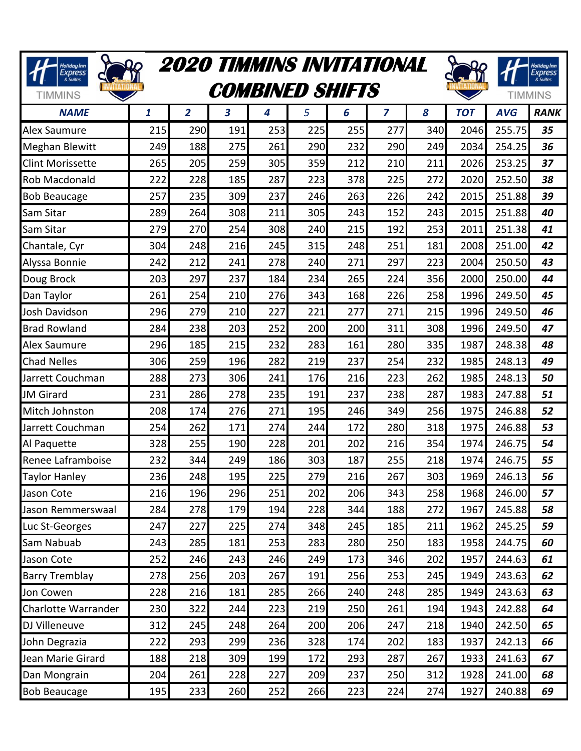| <b>2020 TIMMINS INVITATIONAL</b><br>Holiday Inn<br>Express<br>& Suites<br><b>COMBINED SHIFTS</b><br><b>TIMMINS</b> |     |                |                         |     |     |     |                |     |            | Holiday Inn<br>Express<br>& Suites<br><b>TIMMINS</b> |             |
|--------------------------------------------------------------------------------------------------------------------|-----|----------------|-------------------------|-----|-----|-----|----------------|-----|------------|------------------------------------------------------|-------------|
| <b>NAME</b>                                                                                                        | 1   | $\overline{2}$ | $\overline{\mathbf{3}}$ | 4   | 5   | 6   | $\overline{z}$ | 8   | <b>TOT</b> | <b>AVG</b>                                           | <b>RANK</b> |
| Alex Saumure                                                                                                       | 215 | 290            | 191                     | 253 | 225 | 255 | 277            | 340 | 2046       | 255.75                                               | 35          |
| <b>Meghan Blewitt</b>                                                                                              | 249 | 188            | 275                     | 261 | 290 | 232 | 290            | 249 | 2034       | 254.25                                               | 36          |
| <b>Clint Morissette</b>                                                                                            | 265 | 205            | 259                     | 305 | 359 | 212 | 210            | 211 | 2026       | 253.25                                               | 37          |
| <b>Rob Macdonald</b>                                                                                               | 222 | 228            | 185                     | 287 | 223 | 378 | 225            | 272 | 2020       | 252.50                                               | 38          |
| <b>Bob Beaucage</b>                                                                                                | 257 | 235            | 309                     | 237 | 246 | 263 | 226            | 242 | 2015       | 251.88                                               | 39          |
| Sam Sitar                                                                                                          | 289 | 264            | 308                     | 211 | 305 | 243 | 152            | 243 | 2015       | 251.88                                               | 40          |
| Sam Sitar                                                                                                          | 279 | 270            | 254                     | 308 | 240 | 215 | 192            | 253 | 2011       | 251.38                                               | 41          |
| Chantale, Cyr                                                                                                      | 304 | 248            | 216                     | 245 | 315 | 248 | 251            | 181 | 2008       | 251.00                                               | 42          |
| Alyssa Bonnie                                                                                                      | 242 | 212            | 241                     | 278 | 240 | 271 | 297            | 223 | 2004       | 250.50                                               | 43          |
| Doug Brock                                                                                                         | 203 | 297            | 237                     | 184 | 234 | 265 | 224            | 356 | 2000       | 250.00                                               | 44          |
| Dan Taylor                                                                                                         | 261 | 254            | 210                     | 276 | 343 | 168 | 226            | 258 | 1996       | 249.50                                               | 45          |
| Josh Davidson                                                                                                      | 296 | 279            | 210                     | 227 | 221 | 277 | 271            | 215 | 1996       | 249.50                                               | 46          |
| <b>Brad Rowland</b>                                                                                                | 284 | 238            | 203                     | 252 | 200 | 200 | 311            | 308 | 1996       | 249.50                                               | 47          |
| <b>Alex Saumure</b>                                                                                                | 296 | 185            | 215                     | 232 | 283 | 161 | 280            | 335 | 1987       | 248.38                                               | 48          |
| <b>Chad Nelles</b>                                                                                                 | 306 | 259            | 196                     | 282 | 219 | 237 | 254            | 232 | 1985       | 248.13                                               | 49          |
| Jarrett Couchman                                                                                                   | 288 | 273            | 306                     | 241 | 176 | 216 | 223            | 262 | 1985       | 248.13                                               | 50          |
| <b>JM</b> Girard                                                                                                   | 231 | 286            | 278                     | 235 | 191 | 237 | 238            | 287 | 1983       | 247.88                                               | 51          |
| Mitch Johnston                                                                                                     | 208 | 174            | 276                     | 271 | 195 | 246 | 349            | 256 | 1975       | 246.88                                               | 52          |
| Jarrett Couchman                                                                                                   | 254 | 262            | 171                     | 274 | 244 | 172 | 280            | 318 | 1975       | 246.88                                               | 53          |
| Al Paquette                                                                                                        | 328 | 255            | 190                     | 228 | 201 | 202 | 216            | 354 | 1974       | 246.75                                               | 54          |
| Renee Laframboise                                                                                                  | 232 | 344            | 249                     | 186 | 303 | 187 | 255            | 218 | 1974       | 246.75                                               | 55          |
| <b>Taylor Hanley</b>                                                                                               | 236 | 248            | 195                     | 225 | 279 | 216 | 267            | 303 | 1969       | 246.13                                               | 56          |
| Jason Cote                                                                                                         | 216 | 196            | 296                     | 251 | 202 | 206 | 343            | 258 | 1968       | 246.00                                               | 57          |
| Jason Remmerswaal                                                                                                  | 284 | 278            | 179                     | 194 | 228 | 344 | 188            | 272 | 1967       | 245.88                                               | 58          |
| Luc St-Georges                                                                                                     | 247 | 227            | 225                     | 274 | 348 | 245 | 185            | 211 | 1962       | 245.25                                               | 59          |
| Sam Nabuab                                                                                                         | 243 | 285            | 181                     | 253 | 283 | 280 | 250            | 183 | 1958       | 244.75                                               | 60          |
| Jason Cote                                                                                                         | 252 | 246            | 243                     | 246 | 249 | 173 | 346            | 202 | 1957       | 244.63                                               | 61          |
| <b>Barry Tremblay</b>                                                                                              | 278 | 256            | 203                     | 267 | 191 | 256 | 253            | 245 | 1949       | 243.63                                               | 62          |
| Jon Cowen                                                                                                          | 228 | 216            | 181                     | 285 | 266 | 240 | 248            | 285 | 1949       | 243.63                                               | 63          |
| Charlotte Warrander                                                                                                | 230 | 322            | 244                     | 223 | 219 | 250 | 261            | 194 | 1943       | 242.88                                               | 64          |
| DJ Villeneuve                                                                                                      | 312 | 245            | 248                     | 264 | 200 | 206 | 247            | 218 | 1940       | 242.50                                               | 65          |
| John Degrazia                                                                                                      | 222 | 293            | 299                     | 236 | 328 | 174 | 202            | 183 | 1937       | 242.13                                               | 66          |
| Jean Marie Girard                                                                                                  | 188 | 218            | 309                     | 199 | 172 | 293 | 287            | 267 | 1933       | 241.63                                               | 67          |
| Dan Mongrain                                                                                                       | 204 | 261            | 228                     | 227 | 209 | 237 | 250            | 312 | 1928       | 241.00                                               | 68          |
| <b>Bob Beaucage</b>                                                                                                | 195 | 233            | 260                     | 252 | 266 | 223 | 224            | 274 | 1927       | 240.88                                               | 69          |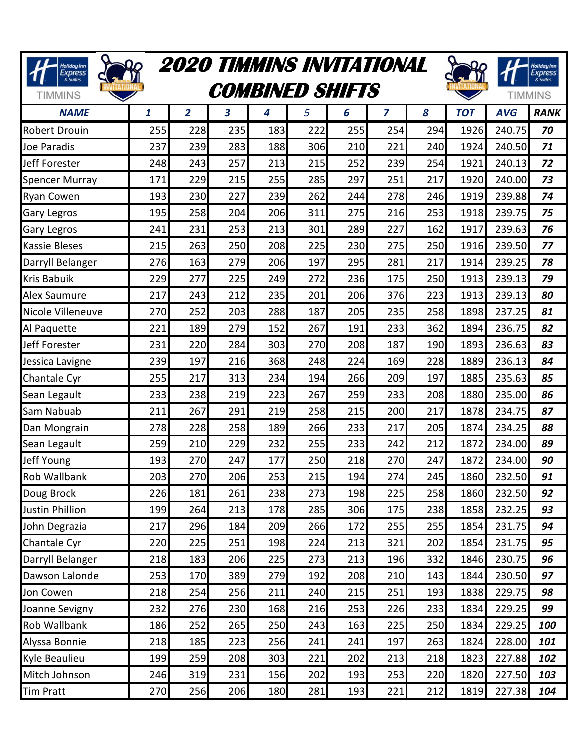| <b>2020 TIMMINS INVITATIONAL</b><br><b>Holiday Inn</b><br>Express<br>& Suites<br><b>COMBINED SHIFTS</b><br><b>TIMMINS</b> |     |                |     |     |     |     |                |     |            | Holiday Inn<br>Express<br>& Suites<br><b>TIMMINS</b> |             |
|---------------------------------------------------------------------------------------------------------------------------|-----|----------------|-----|-----|-----|-----|----------------|-----|------------|------------------------------------------------------|-------------|
| <b>NAME</b>                                                                                                               | 1   | $\overline{2}$ | 3   | 4   | 5   | 6   | $\overline{z}$ | 8   | <b>TOT</b> | <b>AVG</b>                                           | <b>RANK</b> |
| <b>Robert Drouin</b>                                                                                                      | 255 | 228            | 235 | 183 | 222 | 255 | 254            | 294 | 1926       | 240.75                                               | 70          |
| Joe Paradis                                                                                                               | 237 | 239            | 283 | 188 | 306 | 210 | 221            | 240 | 1924       | 240.50                                               | 71          |
| Jeff Forester                                                                                                             | 248 | 243            | 257 | 213 | 215 | 252 | 239            | 254 | 1921       | 240.13                                               | 72          |
| <b>Spencer Murray</b>                                                                                                     | 171 | 229            | 215 | 255 | 285 | 297 | 251            | 217 | 1920       | 240.00                                               | 73          |
| <b>Ryan Cowen</b>                                                                                                         | 193 | 230            | 227 | 239 | 262 | 244 | 278            | 246 | 1919       | 239.88                                               | 74          |
| <b>Gary Legros</b>                                                                                                        | 195 | 258            | 204 | 206 | 311 | 275 | 216            | 253 | 1918       | 239.75                                               | 75          |
| <b>Gary Legros</b>                                                                                                        | 241 | 231            | 253 | 213 | 301 | 289 | 227            | 162 | 1917       | 239.63                                               | 76          |
| <b>Kassie Bleses</b>                                                                                                      | 215 | 263            | 250 | 208 | 225 | 230 | 275            | 250 | 1916       | 239.50                                               | 77          |
| Darryll Belanger                                                                                                          | 276 | 163            | 279 | 206 | 197 | 295 | 281            | 217 | 1914       | 239.25                                               | 78          |
| <b>Kris Babuik</b>                                                                                                        | 229 | 277            | 225 | 249 | 272 | 236 | 175            | 250 | 1913       | 239.13                                               | 79          |
| <b>Alex Saumure</b>                                                                                                       | 217 | 243            | 212 | 235 | 201 | 206 | 376            | 223 | 1913       | 239.13                                               | 80          |
| Nicole Villeneuve                                                                                                         | 270 | 252            | 203 | 288 | 187 | 205 | 235            | 258 | 1898       | 237.25                                               | 81          |
| Al Paquette                                                                                                               | 221 | 189            | 279 | 152 | 267 | 191 | 233            | 362 | 1894       | 236.75                                               | 82          |
| Jeff Forester                                                                                                             | 231 | 220            | 284 | 303 | 270 | 208 | 187            | 190 | 1893       | 236.63                                               | 83          |
| Jessica Lavigne                                                                                                           | 239 | 197            | 216 | 368 | 248 | 224 | 169            | 228 | 1889       | 236.13                                               | 84          |
| Chantale Cyr                                                                                                              | 255 | 217            | 313 | 234 | 194 | 266 | 209            | 197 | 1885       | 235.63                                               | 85          |
| Sean Legault                                                                                                              | 233 | 238            | 219 | 223 | 267 | 259 | 233            | 208 | 1880       | 235.00                                               | 86          |
| Sam Nabuab                                                                                                                | 211 | 267            | 291 | 219 | 258 | 215 | 200            | 217 | 1878       | 234.75                                               | 87          |
| Dan Mongrain                                                                                                              | 278 | 228            | 258 | 189 | 266 | 233 | 217            | 205 | 1874       | 234.25                                               | 88          |
| Sean Legault                                                                                                              | 259 | 210            | 229 | 232 | 255 | 233 | 242            | 212 | 1872       | 234.00                                               | 89          |
| Jeff Young                                                                                                                | 193 | 270            | 247 | 177 | 250 | 218 | 270            | 247 | 1872       | 234.00                                               | 90          |
| <b>Rob Wallbank</b>                                                                                                       | 203 | 270            | 206 | 253 | 215 | 194 | 274            | 245 | 1860       | 232.50                                               | 91          |
| Doug Brock                                                                                                                | 226 | 181            | 261 | 238 | 273 | 198 | 225            | 258 | 1860       | 232.50                                               | 92          |
| <b>Justin Phillion</b>                                                                                                    | 199 | 264            | 213 | 178 | 285 | 306 | 175            | 238 | 1858       | 232.25                                               | 93          |
| John Degrazia                                                                                                             | 217 | 296            | 184 | 209 | 266 | 172 | 255            | 255 | 1854       | 231.75                                               | 94          |
| Chantale Cyr                                                                                                              | 220 | 225            | 251 | 198 | 224 | 213 | 321            | 202 | 1854       | 231.75                                               | 95          |
| Darryll Belanger                                                                                                          | 218 | 183            | 206 | 225 | 273 | 213 | 196            | 332 | 1846       | 230.75                                               | 96          |
| Dawson Lalonde                                                                                                            | 253 | 170            | 389 | 279 | 192 | 208 | 210            | 143 | 1844       | 230.50                                               | 97          |
| Jon Cowen                                                                                                                 | 218 | 254            | 256 | 211 | 240 | 215 | 251            | 193 | 1838       | 229.75                                               | 98          |
| Joanne Sevigny                                                                                                            | 232 | 276            | 230 | 168 | 216 | 253 | 226            | 233 | 1834       | 229.25                                               | 99          |
| <b>Rob Wallbank</b>                                                                                                       | 186 | 252            | 265 | 250 | 243 | 163 | 225            | 250 | 1834       | 229.25                                               | 100         |
| Alyssa Bonnie                                                                                                             | 218 | 185            | 223 | 256 | 241 | 241 | 197            | 263 | 1824       | 228.00                                               | 101         |
| Kyle Beaulieu                                                                                                             | 199 | 259            | 208 | 303 | 221 | 202 | 213            | 218 | 1823       | 227.88                                               | 102         |
| Mitch Johnson                                                                                                             | 246 | 319            | 231 | 156 | 202 | 193 | 253            | 220 | 1820       | 227.50                                               | 103         |
| <b>Tim Pratt</b>                                                                                                          | 270 | 256            | 206 | 180 | 281 | 193 | 221            | 212 | 1819       | 227.38                                               | 104         |